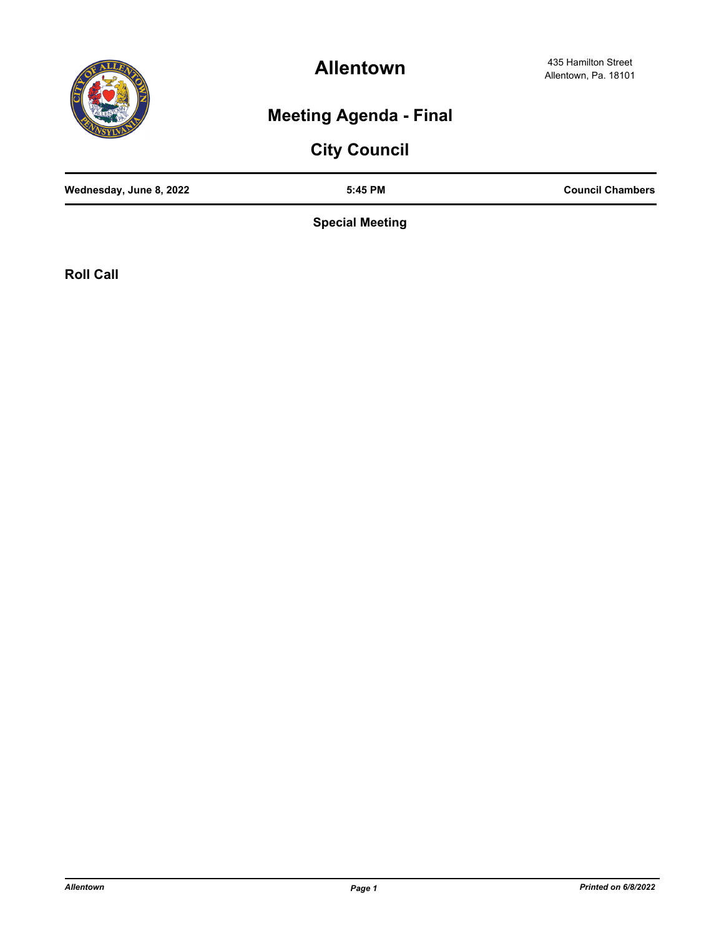

**Allentown**

## **Meeting Agenda - Final**

# **City Council**

| Wednesday, June 8, 2022 | 5:45 PM | <b>Council Chambers</b> |
|-------------------------|---------|-------------------------|
|                         |         |                         |

**Special Meeting**

**Roll Call**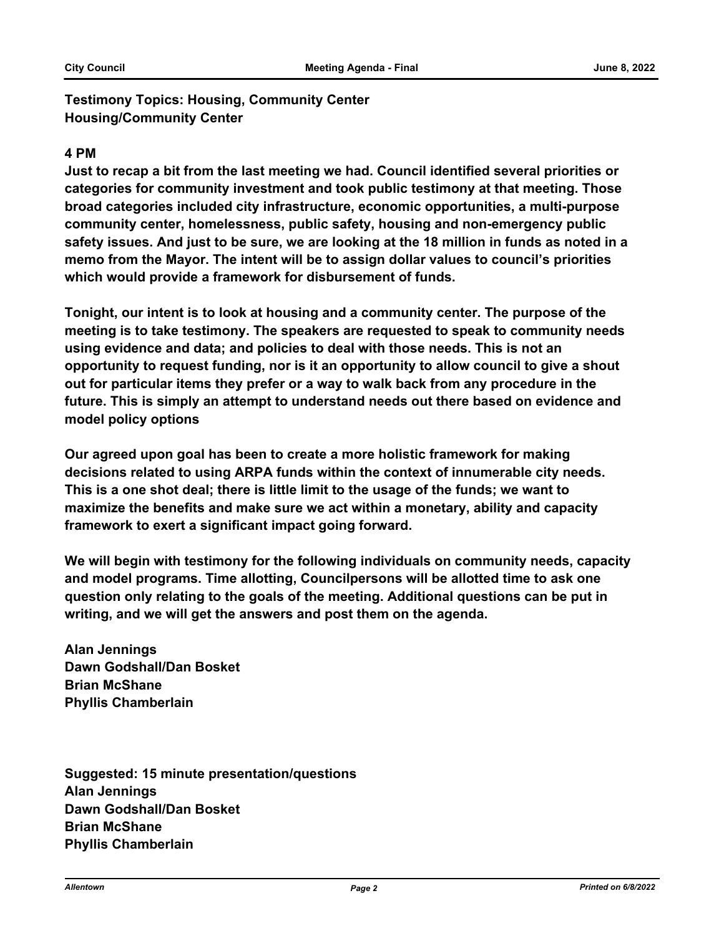**Testimony Topics: Housing, Community Center Housing/Community Center**

#### **4 PM**

**Just to recap a bit from the last meeting we had. Council identified several priorities or categories for community investment and took public testimony at that meeting. Those broad categories included city infrastructure, economic opportunities, a multi-purpose community center, homelessness, public safety, housing and non-emergency public safety issues. And just to be sure, we are looking at the 18 million in funds as noted in a memo from the Mayor. The intent will be to assign dollar values to council's priorities which would provide a framework for disbursement of funds.** 

**Tonight, our intent is to look at housing and a community center. The purpose of the meeting is to take testimony. The speakers are requested to speak to community needs using evidence and data; and policies to deal with those needs. This is not an opportunity to request funding, nor is it an opportunity to allow council to give a shout out for particular items they prefer or a way to walk back from any procedure in the future. This is simply an attempt to understand needs out there based on evidence and model policy options** 

**Our agreed upon goal has been to create a more holistic framework for making decisions related to using ARPA funds within the context of innumerable city needs. This is a one shot deal; there is little limit to the usage of the funds; we want to maximize the benefits and make sure we act within a monetary, ability and capacity framework to exert a significant impact going forward.**

**We will begin with testimony for the following individuals on community needs, capacity and model programs. Time allotting, Councilpersons will be allotted time to ask one question only relating to the goals of the meeting. Additional questions can be put in writing, and we will get the answers and post them on the agenda.** 

**Alan Jennings Dawn Godshall/Dan Bosket Brian McShane Phyllis Chamberlain** 

**Suggested: 15 minute presentation/questions Alan Jennings Dawn Godshall/Dan Bosket Brian McShane Phyllis Chamberlain**